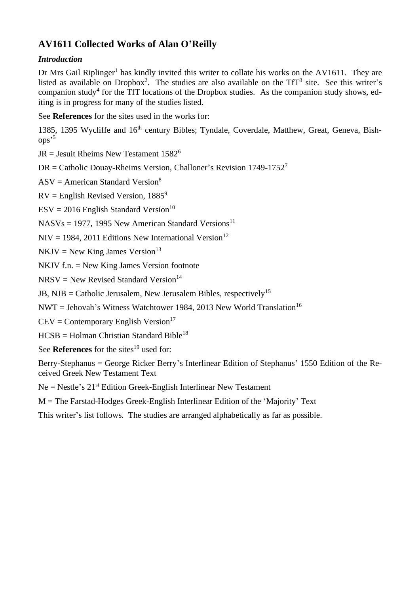# **AV1611 Collected Works of Alan O'Reilly**

## *Introduction*

Dr Mrs Gail Riplinger<sup>1</sup> has kindly invited this writer to collate his works on the AV1611. They are listed as available on Dropbox<sup>2</sup>. The studies are also available on the  $TfT^3$  site. See this writer's companion study<sup>4</sup> for the TfT locations of the Dropbox studies. As the companion study shows, editing is in progress for many of the studies listed.

See **References** for the sites used in the works for:

1385, 1395 Wycliffe and 16<sup>th</sup> century Bibles; Tyndale, Coverdale, Matthew, Great, Geneva, Bishops' 5

 $JR = Jesuit Rheims New Testament 1582<sup>6</sup>$ 

 $DR = Catholic Douav-Rheims Version. Challoner's Revision 1749-1752<sup>7</sup>$ 

 $ASV = American Standard Version<sup>8</sup>$ 

 $RV =$  English Revised Version, 1885<sup>9</sup>

 $ESV = 2016$  English Standard Version<sup>10</sup>

 $NASVs = 1977$ , 1995 New American Standard Versions<sup>11</sup>

 $NIV = 1984, 2011$  Editions New International Version<sup>12</sup>

 $NKJV = New King James Version<sup>13</sup>$ 

NKJV f.n. = New King James Version footnote

 $NRSV = New Revised Standard Version<sup>14</sup>$ 

JB, NJB = Catholic Jerusalem, New Jerusalem Bibles, respectively<sup>15</sup>

NWT = Jehovah's Witness Watchtower 1984, 2013 New World Translation<sup>16</sup>

 $CEV = \text{Contemporary English Version}^{17}$ 

 $HCSB = Holman Christian Standard Bible<sup>18</sup>$ 

See **References** for the sites<sup>19</sup> used for:

Berry-Stephanus = George Ricker Berry's Interlinear Edition of Stephanus' 1550 Edition of the Received Greek New Testament Text

Ne = Nestle's 21st Edition Greek-English Interlinear New Testament

M = The Farstad-Hodges Greek-English Interlinear Edition of the 'Majority' Text

This writer's list follows. The studies are arranged alphabetically as far as possible.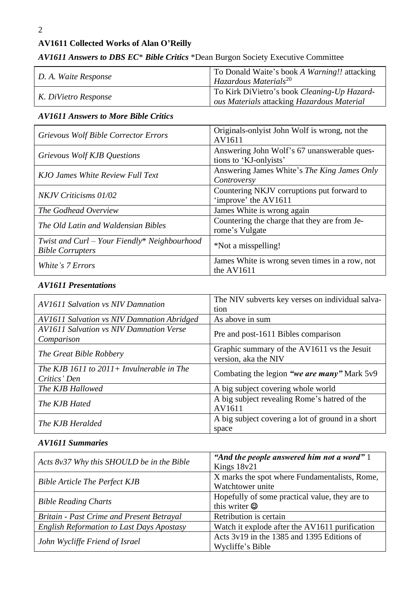# **AV1611 Collected Works of Alan O'Reilly**

| D. A. Waite Response | To Donald Waite's book A Warning!! attacking<br>Hazardous Materials <sup>20</sup>         |
|----------------------|-------------------------------------------------------------------------------------------|
| K. DiVietro Response | To Kirk DiVietro's book Cleaning-Up Hazard-<br>ous Materials attacking Hazardous Material |

# *AV1611 Answers to DBS EC*\* *Bible Critics* \*Dean Burgon Society Executive Committee

# *AV1611 Answers to More Bible Critics*

| <b>Grievous Wolf Bible Corrector Errors</b>                               | Originals-only is John Wolf is wrong, not the<br>AV1611               |
|---------------------------------------------------------------------------|-----------------------------------------------------------------------|
| Grievous Wolf KJB Questions                                               | Answering John Wolf's 67 unanswerable ques-<br>tions to 'KJ-onlyists' |
| KJO James White Review Full Text                                          | Answering James White's The King James Only<br>Controversy            |
| NKJV Criticisms 01/02                                                     | Countering NKJV corruptions put forward to<br>'improve' the AV1611    |
| The Godhead Overview                                                      | James White is wrong again                                            |
| The Old Latin and Waldensian Bibles                                       | Countering the charge that they are from Je-<br>rome's Vulgate        |
| Twist and $Curl - Your Finally* Neighbourhood$<br><b>Bible Corrupters</b> | *Not a misspelling!                                                   |
| White's 7 Errors                                                          | James White is wrong seven times in a row, not<br>the AV1611          |

# *AV1611 Presentations*

| <b>AV1611 Salvation vs NIV Damnation</b>                      | The NIV subverts key verses on individual salva-<br>tion            |
|---------------------------------------------------------------|---------------------------------------------------------------------|
| <b>AV1611 Salvation vs NIV Damnation Abridged</b>             | As above in sum                                                     |
| <b>AV1611 Salvation vs NIV Damnation Verse</b><br>Comparison  | Pre and post-1611 Bibles comparison                                 |
| The Great Bible Robbery                                       | Graphic summary of the AV1611 vs the Jesuit<br>version, aka the NIV |
| The KJB 1611 to $2011 + Invulenceable$ in The<br>Critics' Den | Combating the legion "we are many" Mark 5v9                         |
| The KJB Hallowed                                              | A big subject covering whole world                                  |
| The KJB Hated                                                 | A big subject revealing Rome's hatred of the<br>AV1611              |
| The KJB Heralded                                              | A big subject covering a lot of ground in a short<br>space          |

#### *AV1611 Summaries*

| Acts 8v37 Why this SHOULD be in the Bible        | "And the people answered him not a word" $1$<br>Kings 18v21           |
|--------------------------------------------------|-----------------------------------------------------------------------|
| <b>Bible Article The Perfect KJB</b>             | X marks the spot where Fundamentalists, Rome,<br>Watchtower unite     |
| <b>Bible Reading Charts</b>                      | Hopefully of some practical value, they are to<br>this writer $\odot$ |
| <b>Britain - Past Crime and Present Betrayal</b> | Retribution is certain                                                |
| <b>English Reformation to Last Days Apostasy</b> | Watch it explode after the AV1611 purification                        |
| John Wycliffe Friend of Israel                   | Acts 3y19 in the 1385 and 1395 Editions of<br>Wycliffe's Bible        |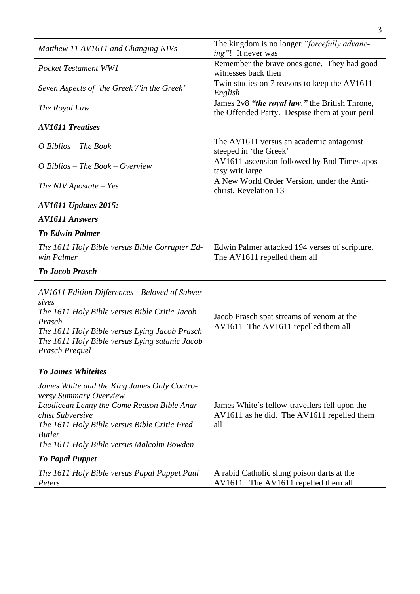| Matthew 11 AV1611 and Changing NIVs         | The kingdom is no longer "forcefully advanc-<br><i>ing</i> "! It never was                       |
|---------------------------------------------|--------------------------------------------------------------------------------------------------|
| <b>Pocket Testament WW1</b>                 | Remember the brave ones gone. They had good<br>witnesses back then                               |
| Seven Aspects of 'the Greek'/'in the Greek' | Twin studies on 7 reasons to keep the AV1611<br>English                                          |
| The Royal Law                               | James 2v8 "the royal law," the British Throne,<br>the Offended Party. Despise them at your peril |

#### *AV1611 Treatises*

| $O$ Biblios – The Book                 | The AV1611 versus an academic antagonist<br>steeped in 'the Greek'  |
|----------------------------------------|---------------------------------------------------------------------|
| <i>O</i> Biblios – The Book – Overview | AV1611 ascension followed by End Times apos-<br>tasy writ large     |
| The NIV Apostate $-$ Yes               | A New World Order Version, under the Anti-<br>christ, Revelation 13 |

# *AV1611 Updates 2015:*

### *AV1611 Answers*

# *To Edwin Palmer*

| The 1611 Holy Bible versus Bible Corrupter Ed-   Edwin Palmer attacked 194 verses of scripture. |                              |
|-------------------------------------------------------------------------------------------------|------------------------------|
| win Palmer                                                                                      | The AV1611 repelled them all |

# *To Jacob Prasch*

| AV1611 Edition Differences - Beloved of Subver-<br>sives<br>The 1611 Holy Bible versus Bible Critic Jacob<br>Prasch<br>The 1611 Holy Bible versus Lying Jacob Prasch<br>The 1611 Holy Bible versus Lying satanic Jacob<br>Prasch Prequel | Jacob Prasch spat streams of venom at the<br>AV1611 The AV1611 repelled them all |
|------------------------------------------------------------------------------------------------------------------------------------------------------------------------------------------------------------------------------------------|----------------------------------------------------------------------------------|
|------------------------------------------------------------------------------------------------------------------------------------------------------------------------------------------------------------------------------------------|----------------------------------------------------------------------------------|

# *To James Whiteites*

| James White and the King James Only Contro-<br>versy Summary Overview<br>Laodicean Lenny the Come Reason Bible Anar-<br>chist Subversive<br>The 1611 Holy Bible versus Bible Critic Fred<br><b>Butler</b><br>The 1611 Holy Bible versus Malcolm Bowden | James White's fellow-travellers fell upon the<br>AV1611 as he did. The AV1611 repelled them<br>all |
|--------------------------------------------------------------------------------------------------------------------------------------------------------------------------------------------------------------------------------------------------------|----------------------------------------------------------------------------------------------------|
|--------------------------------------------------------------------------------------------------------------------------------------------------------------------------------------------------------------------------------------------------------|----------------------------------------------------------------------------------------------------|

# *To Papal Puppet*

| The 1611 Holy Bible versus Papal Puppet Paul   A rabid Catholic slung poison darts at the |                                              |
|-------------------------------------------------------------------------------------------|----------------------------------------------|
| Peters                                                                                    | $\vert$ AV1611. The AV1611 repelled them all |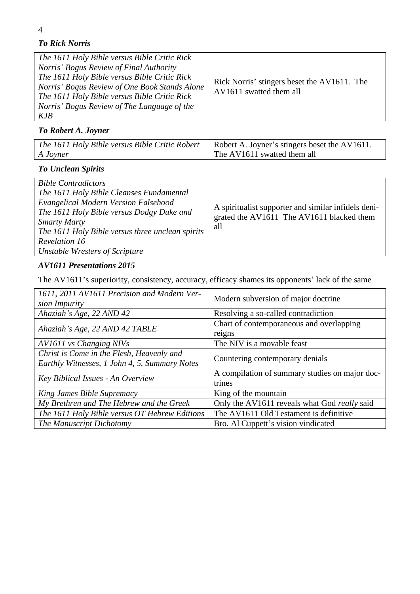# *To Rick Norris*

| The 1611 Holy Bible versus Bible Critic Rick<br>Norris' Bogus Review of Final Authority<br>The 1611 Holy Bible versus Bible Critic Rick<br>Norris' Bogus Review of One Book Stands Alone<br>The 1611 Holy Bible versus Bible Critic Rick<br>Norris' Bogus Review of The Language of the<br>KJB | Rick Norris' stingers beset the AV1611. The<br>AV1611 swatted them all |
|------------------------------------------------------------------------------------------------------------------------------------------------------------------------------------------------------------------------------------------------------------------------------------------------|------------------------------------------------------------------------|
|------------------------------------------------------------------------------------------------------------------------------------------------------------------------------------------------------------------------------------------------------------------------------------------------|------------------------------------------------------------------------|

# *To Robert A. Joyner*

| The 1611 Holy Bible versus Bible Critic Robert   Robert A. Joyner's stingers beset the AV1611. |                             |
|------------------------------------------------------------------------------------------------|-----------------------------|
| A Joyner                                                                                       | The AV1611 swatted them all |

# *To Unclean Spirits*

| <b>Bible Contradictors</b><br>The 1611 Holy Bible Cleanses Fundamental<br>Evangelical Modern Version Falsehood<br>The 1611 Holy Bible versus Dodgy Duke and<br><b>Smarty Marty</b> | A spiritualist supporter and similar infidels deni-<br>grated the AV1611 The AV1611 blacked them |
|------------------------------------------------------------------------------------------------------------------------------------------------------------------------------------|--------------------------------------------------------------------------------------------------|
| The 1611 Holy Bible versus three unclean spirits                                                                                                                                   | all                                                                                              |
| Revelation 16<br><b>Unstable Wresters of Scripture</b>                                                                                                                             |                                                                                                  |

# *AV1611 Presentations 2015*

The AV1611's superiority, consistency, accuracy, efficacy shames its opponents' lack of the same

| 1611, 2011 AV1611 Precision and Modern Ver-<br>sion Impurity                               | Modern subversion of major doctrine                      |  |
|--------------------------------------------------------------------------------------------|----------------------------------------------------------|--|
| Ahaziah's Age, 22 AND 42                                                                   | Resolving a so-called contradiction                      |  |
| Ahaziah's Age, 22 AND 42 TABLE                                                             | Chart of contemporaneous and overlapping<br>reigns       |  |
| AV1611 vs Changing NIVs                                                                    | The NIV is a movable feast                               |  |
| Christ is Come in the Flesh, Heavenly and<br>Earthly Witnesses, 1 John 4, 5, Summary Notes | Countering contemporary denials                          |  |
| Key Biblical Issues - An Overview                                                          | A compilation of summary studies on major doc-<br>trines |  |
| King James Bible Supremacy                                                                 | King of the mountain                                     |  |
| My Brethren and The Hebrew and the Greek                                                   | Only the AV1611 reveals what God really said             |  |
| The 1611 Holy Bible versus OT Hebrew Editions                                              | The AV1611 Old Testament is definitive                   |  |
| The Manuscript Dichotomy                                                                   | Bro. Al Cuppett's vision vindicated                      |  |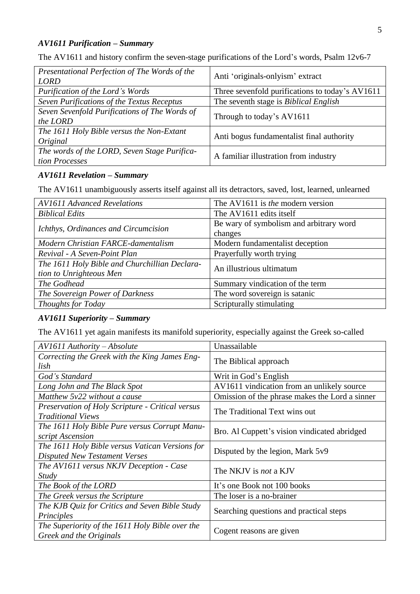#### *AV1611 Purification – Summary*

The AV1611 and history confirm the seven-stage purifications of the Lord's words, Psalm 12v6-7

| Presentational Perfection of The Words of the<br><b>LORD</b> | Anti 'originals-onlyism' extract                |  |
|--------------------------------------------------------------|-------------------------------------------------|--|
| Purification of the Lord's Words                             | Three sevenfold purifications to today's AV1611 |  |
| Seven Purifications of the Textus Receptus                   | The seventh stage is <i>Biblical English</i>    |  |
| Seven Sevenfold Purifications of The Words of                | Through to today's AV1611                       |  |
| the LORD                                                     |                                                 |  |
| The 1611 Holy Bible versus the Non-Extant                    | Anti bogus fundamentalist final authority       |  |
| Original                                                     |                                                 |  |
| The words of the LORD, Seven Stage Purifica-                 | A familiar illustration from industry           |  |
| tion Processes                                               |                                                 |  |

## *AV1611 Revelation – Summary*

The AV1611 unambiguously asserts itself against all its detractors, saved, lost, learned, unlearned

| <b>AV1611 Advanced Revelations</b>            | The AV1611 is <i>the</i> modern version |  |
|-----------------------------------------------|-----------------------------------------|--|
| <b>Biblical Edits</b>                         | The AV1611 edits itself                 |  |
|                                               | Be wary of symbolism and arbitrary word |  |
| Ichthys, Ordinances and Circumcision          | changes                                 |  |
| Modern Christian FARCE-damentalism            | Modern fundamentalist deception         |  |
| Revival - A Seven-Point Plan                  | Prayerfully worth trying                |  |
| The 1611 Holy Bible and Churchillian Declara- | An illustrious ultimatum                |  |
| tion to Unrighteous Men                       |                                         |  |
| The Godhead                                   | Summary vindication of the term         |  |
| The Sovereign Power of Darkness               | The word sovereign is satanic           |  |
| Thoughts for Today                            | Scripturally stimulating                |  |

# *AV1611 Superiority – Summary*

The AV1611 yet again manifests its manifold superiority, especially against the Greek so-called

| AV1611 Authority - Absolute                                                             | Unassailable                                   |  |
|-----------------------------------------------------------------------------------------|------------------------------------------------|--|
| Correcting the Greek with the King James Eng-<br>lish                                   | The Biblical approach                          |  |
| God's Standard                                                                          | Writ in God's English                          |  |
| Long John and The Black Spot                                                            | AV1611 vindication from an unlikely source     |  |
| Matthew 5y22 without a cause                                                            | Omission of the phrase makes the Lord a sinner |  |
| <b>Preservation of Holy Scripture - Critical versus</b><br><b>Traditional Views</b>     | The Traditional Text wins out                  |  |
| The 1611 Holy Bible Pure versus Corrupt Manu-<br>script Ascension                       | Bro. Al Cuppett's vision vindicated abridged   |  |
| The 1611 Holy Bible versus Vatican Versions for<br><b>Disputed New Testament Verses</b> | Disputed by the legion, Mark 5v9               |  |
| The AV1611 versus NKJV Deception - Case<br>Study                                        | The NKJV is <i>not</i> a KJV                   |  |
| The Book of the LORD                                                                    | It's one Book not 100 books                    |  |
| The Greek versus the Scripture                                                          | The loser is a no-brainer                      |  |
| The KJB Quiz for Critics and Seven Bible Study<br>Principles                            | Searching questions and practical steps        |  |
| The Superiority of the 1611 Holy Bible over the<br>Greek and the Originals              | Cogent reasons are given                       |  |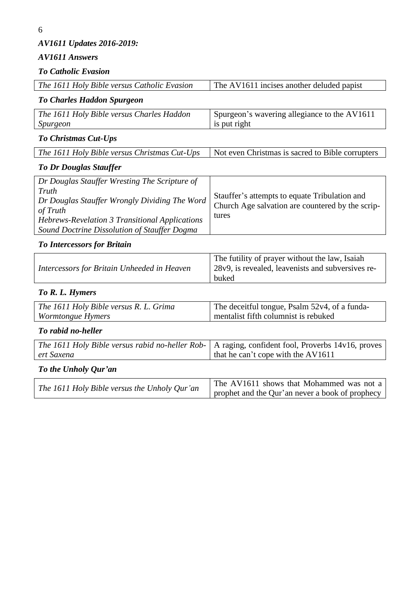*AV1611 Updates 2016-2019:*

# *AV1611 Answers*

*To Catholic Evasion*

| The 1611 Holy Bible versus Catholic Evasion                                                                                                                                                                           | The AV1611 incises another deluded papist                                                                    |  |
|-----------------------------------------------------------------------------------------------------------------------------------------------------------------------------------------------------------------------|--------------------------------------------------------------------------------------------------------------|--|
| <b>To Charles Haddon Spurgeon</b>                                                                                                                                                                                     |                                                                                                              |  |
| Spurgeon's wavering allegiance to the AV1611<br>The 1611 Holy Bible versus Charles Haddon<br>is put right<br>Spurgeon                                                                                                 |                                                                                                              |  |
| To Christmas Cut-Ups                                                                                                                                                                                                  |                                                                                                              |  |
| The 1611 Holy Bible versus Christmas Cut-Ups                                                                                                                                                                          | Not even Christmas is sacred to Bible corrupters                                                             |  |
| <b>To Dr Douglas Stauffer</b>                                                                                                                                                                                         |                                                                                                              |  |
| Dr Douglas Stauffer Wresting The Scripture of<br>Truth<br>Dr Douglas Stauffer Wrongly Dividing The Word<br>of Truth<br>Hebrews-Revelation 3 Transitional Applications<br>Sound Doctrine Dissolution of Stauffer Dogma | Stauffer's attempts to equate Tribulation and<br>Church Age salvation are countered by the scrip-<br>tures   |  |
| <b>To Intercessors for Britain</b>                                                                                                                                                                                    |                                                                                                              |  |
| Intercessors for Britain Unheeded in Heaven                                                                                                                                                                           | The futility of prayer without the law, Isaiah<br>28v9, is revealed, leavenists and subversives re-<br>buked |  |
| To R. L. Hymers                                                                                                                                                                                                       |                                                                                                              |  |
| The 1611 Holy Bible versus R. L. Grima<br>Wormtongue Hymers                                                                                                                                                           | The deceitful tongue, Psalm 52v4, of a funda-<br>mentalist fifth columnist is rebuked                        |  |
| To rabid no-heller                                                                                                                                                                                                    |                                                                                                              |  |
| The 1611 Holy Bible versus rabid no-heller Rob-<br>ert Saxena                                                                                                                                                         | A raging, confident fool, Proverbs 14v16, proves<br>that he can't cope with the AV1611                       |  |
| To the Unholy Qur'an                                                                                                                                                                                                  |                                                                                                              |  |
| The 1611 Holy Bible versus the Unholy Qur'an                                                                                                                                                                          | The AV1611 shows that Mohammed was not a<br>prophet and the Qur'an never a book of prophecy                  |  |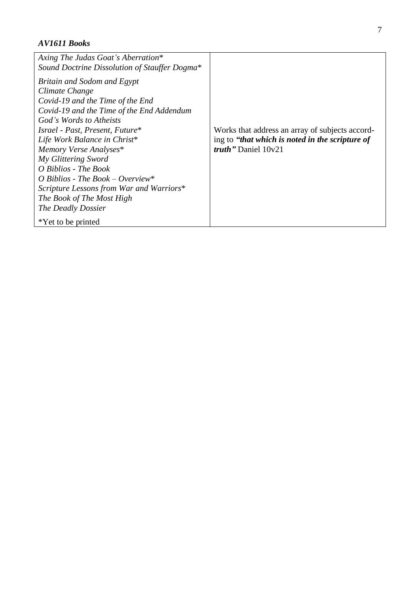## *AV1611 Books*

| Axing The Judas Goat's Aberration*<br>Sound Doctrine Dissolution of Stauffer Dogma*                                                                                                                                                                                                                                                                                                                                                                            |                                                                                                                             |
|----------------------------------------------------------------------------------------------------------------------------------------------------------------------------------------------------------------------------------------------------------------------------------------------------------------------------------------------------------------------------------------------------------------------------------------------------------------|-----------------------------------------------------------------------------------------------------------------------------|
| Britain and Sodom and Egypt<br>Climate Change<br>Covid-19 and the Time of the End<br>Covid-19 and the Time of the End Addendum<br>God's Words to Atheists<br>Israel - Past, Present, Future*<br>Life Work Balance in Christ*<br>Memory Verse Analyses*<br>My Glittering Sword<br>O Biblios - The Book<br>O Biblios - The Book – Overview*<br>Scripture Lessons from War and Warriors*<br>The Book of The Most High<br>The Deadly Dossier<br>*Yet to be printed | Works that address an array of subjects accord-<br>ing to "that which is noted in the scripture of<br>truth" Daniel $10v21$ |
|                                                                                                                                                                                                                                                                                                                                                                                                                                                                |                                                                                                                             |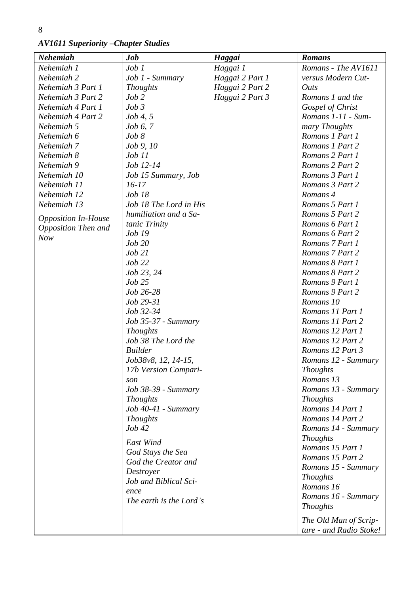8

*AV1611 Superiority –Chapter Studies*

| <b>Nehemiah</b>            | Job                        | Haggai          | <b>Romans</b>           |
|----------------------------|----------------------------|-----------------|-------------------------|
| Nehemiah 1                 | Job 1                      | Haggai 1        | Romans - The AV1611     |
| Nehemiah 2                 | Job 1 - Summary            | Haggai 2 Part 1 | versus Modern Cut-      |
| Nehemiah 3 Part 1          | <b>Thoughts</b>            | Haggai 2 Part 2 | Outs                    |
| Nehemiah 3 Part 2          | $Job$ $2$                  | Haggai 2 Part 3 | Romans 1 and the        |
| Nehemiah 4 Part 1          | Job3                       |                 | Gospel of Christ        |
| Nehemiah 4 Part 2          | $Job\,4,5$                 |                 | Romans 1-11 - Sum-      |
| Nehemiah 5                 | $Job\ 6, 7$                |                 | mary Thoughts           |
| Nehemiah 6                 | Job 8                      |                 | Romans 1 Part 1         |
| Nehemiah 7                 | <i>Job 9, 10</i>           |                 | Romans 1 Part 2         |
| Nehemiah 8                 | Job 11                     |                 | Romans 2 Part 1         |
| Nehemiah 9                 | Job 12-14                  |                 | Romans 2 Part 2         |
| Nehemiah 10                | Job 15 Summary, Job        |                 | Romans 3 Part 1         |
| Nehemiah 11                | $16-17$                    |                 | Romans 3 Part 2         |
| Nehemiah 12                | $Job$ $18$                 |                 | Romans 4                |
| Nehemiah 13                | Job 18 The Lord in His     |                 | Romans 5 Part 1         |
|                            | humiliation and a Sa-      |                 | Romans 5 Part 2         |
| <b>Opposition In-House</b> | tanic Trinity              |                 | Romans 6 Part 1         |
| Opposition Then and        | <i>Job</i> 19              |                 | Romans 6 Part 2         |
| <b>Now</b>                 | Job 20                     |                 | Romans 7 Part 1         |
|                            | $Job$ $21$                 |                 | Romans 7 Part 2         |
|                            | Job 22                     |                 | Romans 8 Part 1         |
|                            | Job 23, 24                 |                 | Romans 8 Part 2         |
|                            | Job 25                     |                 | Romans 9 Part 1         |
|                            | Job 26-28                  |                 | Romans 9 Part 2         |
|                            | Job 29-31                  |                 | Romans 10               |
|                            | Job 32-34                  |                 | Romans 11 Part 1        |
|                            | Job 35-37 - Summary        |                 | Romans 11 Part 2        |
|                            | <b>Thoughts</b>            |                 | Romans 12 Part 1        |
|                            | Job 38 The Lord the        |                 | Romans 12 Part 2        |
|                            | <b>Builder</b>             |                 | Romans 12 Part 3        |
|                            | Job38v8, 12, 14-15,        |                 | Romans 12 - Summary     |
|                            | 17b Version Compari-       |                 | <b>Thoughts</b>         |
|                            | son                        |                 | Romans 13               |
|                            | <i>Job 38-39 - Summary</i> |                 | Romans 13 - Summary     |
|                            | <b>Thoughts</b>            |                 | <b>Thoughts</b>         |
|                            | Job 40-41 - Summary        |                 | Romans 14 Part 1        |
|                            | <b>Thoughts</b>            |                 | Romans 14 Part 2        |
|                            | Job 42                     |                 | Romans 14 - Summary     |
|                            |                            |                 | <b>Thoughts</b>         |
|                            | East Wind                  |                 | Romans 15 Part 1        |
|                            | God Stays the Sea          |                 | Romans 15 Part 2        |
|                            | God the Creator and        |                 | Romans 15 - Summary     |
|                            | Destroyer                  |                 | <b>Thoughts</b>         |
|                            | Job and Biblical Sci-      |                 | Romans 16               |
|                            | ence                       |                 | Romans 16 - Summary     |
|                            | The earth is the Lord's    |                 | <b>Thoughts</b>         |
|                            |                            |                 |                         |
|                            |                            |                 | The Old Man of Scrip-   |
|                            |                            |                 | ture - and Radio Stoke! |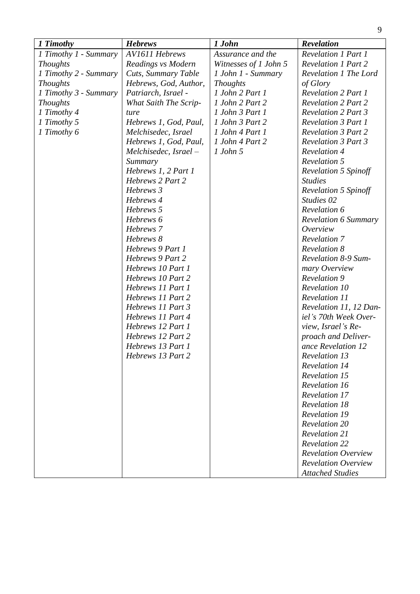| 1 Timothy             | <b>Hebrews</b>        | 1 John                | <b>Revelation</b>           |
|-----------------------|-----------------------|-----------------------|-----------------------------|
| 1 Timothy 1 - Summary | <b>AV1611 Hebrews</b> | Assurance and the     | <b>Revelation 1 Part 1</b>  |
| <b>Thoughts</b>       | Readings vs Modern    | Witnesses of 1 John 5 | <b>Revelation 1 Part 2</b>  |
| 1 Timothy 2 - Summary | Cuts, Summary Table   | 1 John 1 - Summary    | Revelation 1 The Lord       |
| <b>Thoughts</b>       | Hebrews, God, Author, | <b>Thoughts</b>       | of Glory                    |
| 1 Timothy 3 - Summary | Patriarch, Israel -   | 1 John 2 Part 1       | <b>Revelation 2 Part 1</b>  |
| <b>Thoughts</b>       | What Saith The Scrip- | 1 John 2 Part 2       | <b>Revelation 2 Part 2</b>  |
| 1 Timothy 4           | ture                  | 1 John 3 Part 1       | <b>Revelation 2 Part 3</b>  |
| 1 Timothy 5           | Hebrews 1, God, Paul, | 1 John 3 Part 2       | <b>Revelation 3 Part 1</b>  |
| 1 Timothy 6           | Melchisedec, Israel   | 1 John 4 Part 1       | <b>Revelation 3 Part 2</b>  |
|                       | Hebrews 1, God, Paul, | 1 John 4 Part 2       | <b>Revelation 3 Part 3</b>  |
|                       | Melchisedec, Israel – | $1$ John 5            | <b>Revelation 4</b>         |
|                       | Summary               |                       | <b>Revelation 5</b>         |
|                       | Hebrews 1, 2 Part 1   |                       | <b>Revelation 5 Spinoff</b> |
|                       | Hebrews 2 Part 2      |                       | <b>Studies</b>              |
|                       | Hebrews 3             |                       | <b>Revelation 5 Spinoff</b> |
|                       | Hebrews 4             |                       | Studies <sub>02</sub>       |
|                       | Hebrews 5             |                       | Revelation 6                |
|                       | Hebrews 6             |                       | <b>Revelation 6 Summary</b> |
|                       | Hebrews 7             |                       | Overview                    |
|                       | Hebrews 8             |                       | <b>Revelation 7</b>         |
|                       | Hebrews 9 Part 1      |                       | <b>Revelation 8</b>         |
|                       | Hebrews 9 Part 2      |                       | <b>Revelation 8-9 Sum-</b>  |
|                       | Hebrews 10 Part 1     |                       | mary Overview               |
|                       | Hebrews 10 Part 2     |                       | <b>Revelation 9</b>         |
|                       | Hebrews 11 Part 1     |                       | <b>Revelation 10</b>        |
|                       | Hebrews 11 Part 2     |                       | Revelation 11               |
|                       | Hebrews 11 Part 3     |                       | Revelation 11, 12 Dan-      |
|                       | Hebrews 11 Part 4     |                       | iel's 70th Week Over-       |
|                       | Hebrews 12 Part 1     |                       | view, Israel's Re-          |
|                       | Hebrews 12 Part 2     |                       | proach and Deliver-         |
|                       | Hebrews 13 Part 1     |                       | ance Revelation 12          |
|                       | Hebrews 13 Part 2     |                       | <b>Revelation 13</b>        |
|                       |                       |                       | <b>Revelation 14</b>        |
|                       |                       |                       | <b>Revelation 15</b>        |
|                       |                       |                       | <b>Revelation 16</b>        |
|                       |                       |                       | <b>Revelation 17</b>        |
|                       |                       |                       | <b>Revelation 18</b>        |
|                       |                       |                       | <b>Revelation 19</b>        |
|                       |                       |                       | <b>Revelation 20</b>        |
|                       |                       |                       | <b>Revelation 21</b>        |
|                       |                       |                       | <b>Revelation 22</b>        |
|                       |                       |                       | <b>Revelation Overview</b>  |
|                       |                       |                       | <b>Revelation Overview</b>  |
|                       |                       |                       | <b>Attached Studies</b>     |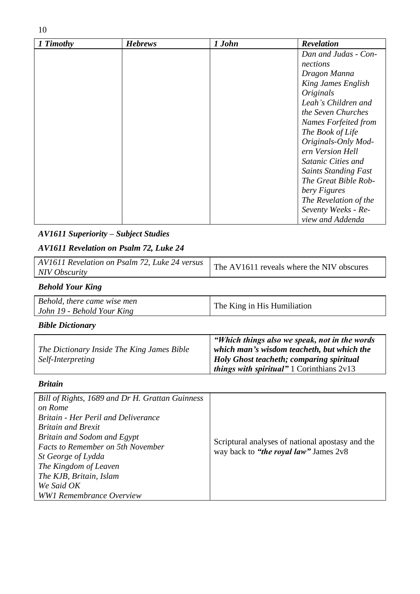| 1 Timothy | <b>Hebrews</b> | 1 John | <b>Revelation</b>           |
|-----------|----------------|--------|-----------------------------|
|           |                |        | Dan and Judas - Con-        |
|           |                |        | nections                    |
|           |                |        | Dragon Manna                |
|           |                |        | King James English          |
|           |                |        | <i>Originals</i>            |
|           |                |        | Leah's Children and         |
|           |                |        | the Seven Churches          |
|           |                |        | Names Forfeited from        |
|           |                |        | The Book of Life            |
|           |                |        | Originals-Only Mod-         |
|           |                |        | ern Version Hell            |
|           |                |        | Satanic Cities and          |
|           |                |        | <b>Saints Standing Fast</b> |
|           |                |        | The Great Bible Rob-        |
|           |                |        | bery Figures                |
|           |                |        | The Revelation of the       |
|           |                |        | Seventy Weeks - Re-         |
|           |                |        | view and Addenda            |

# *AV1611 Superiority – Subject Studies*

# *AV1611 Revelation on Psalm 72, Luke 24*

| AV1611 Revelation on Psalm 72, Luke 24 versus | The AV1611 reveals where the NIV obscures |
|-----------------------------------------------|-------------------------------------------|
| NIV Obscurity                                 |                                           |

# *Behold Your King*

| Behold, there came wise men |                             |
|-----------------------------|-----------------------------|
| John 19 - Behold Your King  | The King in His Humiliation |

# *Bible Dictionary*

|                                            | "Which things also we speak, not in the words       |
|--------------------------------------------|-----------------------------------------------------|
| The Dictionary Inside The King James Bible | which man's wisdom teacheth, but which the          |
| <i>Self-Interpreting</i>                   | Holy Ghost teacheth; comparing spiritual            |
|                                            | <i>things with spiritual</i> " 1 Corinthians $2v13$ |

### *Britain*

| Bill of Rights, 1689 and Dr H. Grattan Guinness |                                                                                           |
|-------------------------------------------------|-------------------------------------------------------------------------------------------|
| on Rome                                         |                                                                                           |
| <b>Britain - Her Peril and Deliverance</b>      |                                                                                           |
| <b>Britain and Brexit</b>                       |                                                                                           |
| Britain and Sodom and Egypt                     |                                                                                           |
| <b>Facts to Remember on 5th November</b>        | Scriptural analyses of national apostasy and the<br>way back to "the royal law" James 2v8 |
| <i>St George of Lydda</i>                       |                                                                                           |
| The Kingdom of Leaven                           |                                                                                           |
| The KJB, Britain, Islam                         |                                                                                           |
| We Said OK                                      |                                                                                           |
| <b>WW1 Remembrance Overview</b>                 |                                                                                           |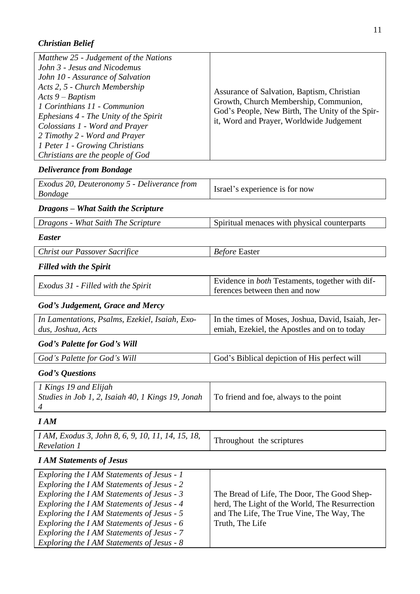# *Christian Belief*

| Matthew 25 - Judgement of the Nations<br>John 3 - Jesus and Nicodemus<br>John 10 - Assurance of Salvation<br>Acts 2, 5 - Church Membership<br>Acts $9 -$ Baptism<br>1 Corinthians 11 - Communion<br>Ephesians 4 - The Unity of the Spirit<br>Colossians 1 - Word and Prayer<br>2 Timothy 2 - Word and Prayer<br>1 Peter 1 - Growing Christians | Assurance of Salvation, Baptism, Christian<br>Growth, Church Membership, Communion,<br>God's People, New Birth, The Unity of the Spir-<br>it, Word and Prayer, Worldwide Judgement |
|------------------------------------------------------------------------------------------------------------------------------------------------------------------------------------------------------------------------------------------------------------------------------------------------------------------------------------------------|------------------------------------------------------------------------------------------------------------------------------------------------------------------------------------|
| Christians are the people of God                                                                                                                                                                                                                                                                                                               |                                                                                                                                                                                    |

# *Deliverance from Bondage*

| Exodus 20, Deuteronomy 5 - Deliverance from<br><b>Bondage</b> | Israel's experience is for now               |
|---------------------------------------------------------------|----------------------------------------------|
| Dragons – What Saith the Scripture                            |                                              |
| Dragons - What Saith The Scripture                            | Spiritual menaces with physical counterparts |
| <i>Easter</i>                                                 |                                              |

*Christ our Passover Sacrifice Before* Easter

#### *Filled with the Spirit*

|--|

# *God's Judgement, Grace and Mercy*

| In Lamentations, Psalms, Ezekiel, Isaiah, Exo- | In the times of Moses, Joshua, David, Isaiah, Jer- |
|------------------------------------------------|----------------------------------------------------|
| dus, Joshua, Acts                              | emiah, Ezekiel, the Apostles and on to today       |
| <b>God's Palette for God's Will</b>            |                                                    |

# *God's Palette for God's Will* **God's Biblical depiction of His perfect will**

## *God's Questions*

| 1 Kings 19 and Elijah<br><i>Studies in Job 1, 2, Isaiah 40, 1 Kings 19, Jonah</i> To friend and foe, always to the point |  |
|--------------------------------------------------------------------------------------------------------------------------|--|
|--------------------------------------------------------------------------------------------------------------------------|--|

# *I AM*

| I AM, Exodus 3, John 8, 6, 9, 10, 11, 14, 15, 18,<br>Throughout the scriptures<br><b>Revelation 1</b> |
|-------------------------------------------------------------------------------------------------------|
|-------------------------------------------------------------------------------------------------------|

# *I AM Statements of Jesus*

| Exploring the I AM Statements of Jesus - 1 |                                                |
|--------------------------------------------|------------------------------------------------|
| Exploring the I AM Statements of Jesus - 2 |                                                |
| Exploring the I AM Statements of Jesus - 3 | The Bread of Life, The Door, The Good Shep-    |
| Exploring the I AM Statements of Jesus - 4 | herd, The Light of the World, The Resurrection |
| Exploring the I AM Statements of Jesus - 5 | and The Life, The True Vine, The Way, The      |
| Exploring the I AM Statements of Jesus - 6 | Truth, The Life                                |
| Exploring the I AM Statements of Jesus - 7 |                                                |
| Exploring the I AM Statements of Jesus - 8 |                                                |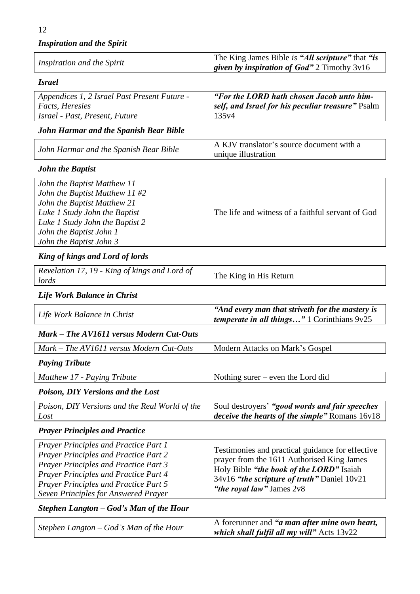*Inspiration and the Spirit*

|                            | The King James Bible is "All scripture" that "is     |
|----------------------------|------------------------------------------------------|
| Inspiration and the Spirit | <i>given by inspiration of God"</i> 2 Timothy $3v16$ |

*Israel*

| Appendices 1, 2 Israel Past Present Future - | "For the LORD hath chosen Jacob unto him-         |
|----------------------------------------------|---------------------------------------------------|
| <i>Facts, Heresies</i>                       | self, and Israel for his peculiar treasure" Psalm |
| Israel - Past, Present, Future<br>135y4      |                                                   |

# *John Harmar and the Spanish Bear Bible*

| John Harmar and the Spanish Bear Bible | A KJV translator's source document with a |
|----------------------------------------|-------------------------------------------|
|                                        | unique illustration                       |

#### *John the Baptist*

| John the Baptist Matthew 11      |                                                   |
|----------------------------------|---------------------------------------------------|
| John the Baptist Matthew 11 $#2$ |                                                   |
| John the Baptist Matthew 21      |                                                   |
| Luke 1 Study John the Baptist    | The life and witness of a faithful servant of God |
| Luke 1 Study John the Baptist 2  |                                                   |
| John the Baptist John 1          |                                                   |
| John the Baptist John 3          |                                                   |

### *King of kings and Lord of lords*

| Revelation 17, 19 - King of kings and Lord of<br>lords | The King in His Return |
|--------------------------------------------------------|------------------------|
|--------------------------------------------------------|------------------------|

### *Life Work Balance in Christ*

| Life Work Balance in Christ | "And every man that striveth for the mastery is<br><i>temperate in all things</i> " 1 Corinthians $9v25$ |
|-----------------------------|----------------------------------------------------------------------------------------------------------|
|                             |                                                                                                          |

### *Mark – The AV1611 versus Modern Cut-Outs*

| Mark – The AV1611 versus Modern Cut-Outs                                                                                                                                                                                                                                             | Modern Attacks on Mark's Gospel                                                                                                                                                                                        |
|--------------------------------------------------------------------------------------------------------------------------------------------------------------------------------------------------------------------------------------------------------------------------------------|------------------------------------------------------------------------------------------------------------------------------------------------------------------------------------------------------------------------|
| <b>Paying Tribute</b>                                                                                                                                                                                                                                                                |                                                                                                                                                                                                                        |
| Matthew 17 - Paying Tribute                                                                                                                                                                                                                                                          | Nothing surer $-$ even the Lord did                                                                                                                                                                                    |
| <b>Poison, DIY Versions and the Lost</b>                                                                                                                                                                                                                                             |                                                                                                                                                                                                                        |
| Poison, DIY Versions and the Real World of the<br>Lost                                                                                                                                                                                                                               | Soul destroyers' "good words and fair speeches"<br><i>deceive the hearts of the simple</i> " Romans 16v18                                                                                                              |
| <b>Prayer Principles and Practice</b>                                                                                                                                                                                                                                                |                                                                                                                                                                                                                        |
| <b>Prayer Principles and Practice Part 1</b><br><b>Prayer Principles and Practice Part 2</b><br><b>Prayer Principles and Practice Part 3</b><br><b>Prayer Principles and Practice Part 4</b><br><b>Prayer Principles and Practice Part 5</b><br>Seven Principles for Answered Prayer | Testimonies and practical guidance for effective<br>prayer from the 1611 Authorised King James<br>Holy Bible "the book of the LORD" Isaiah<br>34v16 "the scripture of truth" Daniel 10v21<br>"the royal law" James 2v8 |
| Stephen Langton – God's Man of the Hour                                                                                                                                                                                                                                              |                                                                                                                                                                                                                        |
| Stephen Langton – God's Man of the Hour                                                                                                                                                                                                                                              | A forerunner and "a man after mine own heart,<br>which shall fulfil all my will" Acts 13v22                                                                                                                            |

| -1<br>¬ |  |
|---------|--|
|         |  |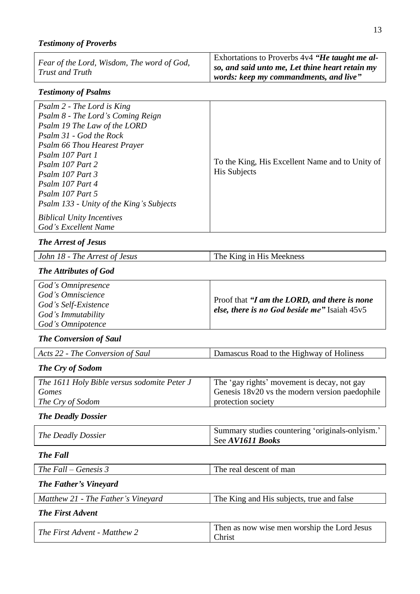# *Testimony of Proverbs*

| Fear of the Lord, Wisdom, The word of God, | Exhortations to Proverbs $4v4$ "He taught me al- |
|--------------------------------------------|--------------------------------------------------|
| Trust and Truth                            | so, and said unto me, Let thine heart retain my  |
|                                            | words: keep my commandments, and live"           |

### *Testimony of Psalms*

### *The Arrest of Jesus*

| John 18 - The Arrest of Jesus | The King in His Meekness |
|-------------------------------|--------------------------|
|-------------------------------|--------------------------|

# *The Attributes of God*

| God's Omnipresence                        |                                                        |
|-------------------------------------------|--------------------------------------------------------|
| God's Omniscience<br>God's Self-Existence | Proof that "I am the LORD, and there is none"          |
| God's Immutability                        | <i>else, there is no God beside me</i> " Isaiah $45v5$ |
| God's Omnipotence                         |                                                        |

### *The Conversion of Saul*

| Acts 22 - The Conversion of Saul | Damascus Road to the Highway of Holiness |
|----------------------------------|------------------------------------------|
|                                  |                                          |

# *The Cry of Sodom*

|--|

# *The Deadly Dossier*

| Summary studies countering 'originals-onlyism.'<br>The Deadly Dossier<br>See AV1611 Books |
|-------------------------------------------------------------------------------------------|
|-------------------------------------------------------------------------------------------|

*The Fall*

|--|

# *The Father's Vineyard*

| Matthew 21 - The Father's Vinevard | The King and His subjects, true and false |
|------------------------------------|-------------------------------------------|
|------------------------------------|-------------------------------------------|

#### *The First Advent*

| The First Advent - Matthew 2 | Then as now wise men worship the Lord Jesus |
|------------------------------|---------------------------------------------|
|                              | Christ                                      |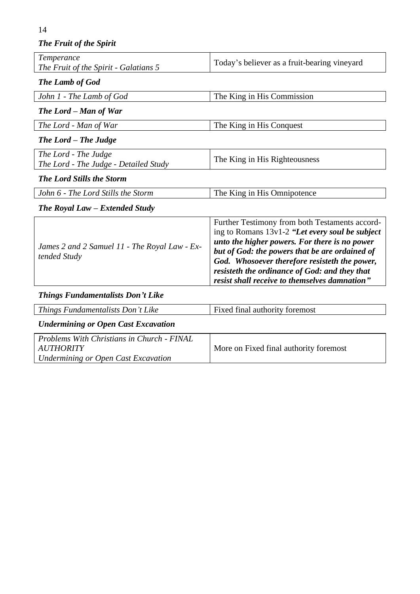14

# *The Fruit of the Spirit*

| Temperance<br>The Fruit of the Spirit - Galatians 5                                                          | Today's believer as a fruit-bearing vineyard                                                                                                                                                                                                                                                                                                            |  |
|--------------------------------------------------------------------------------------------------------------|---------------------------------------------------------------------------------------------------------------------------------------------------------------------------------------------------------------------------------------------------------------------------------------------------------------------------------------------------------|--|
| The Lamb of God                                                                                              |                                                                                                                                                                                                                                                                                                                                                         |  |
| John 1 - The Lamb of God                                                                                     | The King in His Commission                                                                                                                                                                                                                                                                                                                              |  |
| The Lord - Man of War                                                                                        |                                                                                                                                                                                                                                                                                                                                                         |  |
| The Lord - Man of War                                                                                        | The King in His Conquest                                                                                                                                                                                                                                                                                                                                |  |
| The Lord – The Judge                                                                                         |                                                                                                                                                                                                                                                                                                                                                         |  |
| The Lord - The Judge<br>The Lord - The Judge - Detailed Study                                                | The King in His Righteousness                                                                                                                                                                                                                                                                                                                           |  |
| <b>The Lord Stills the Storm</b>                                                                             |                                                                                                                                                                                                                                                                                                                                                         |  |
| John 6 - The Lord Stills the Storm                                                                           | The King in His Omnipotence                                                                                                                                                                                                                                                                                                                             |  |
| The Royal Law – Extended Study                                                                               |                                                                                                                                                                                                                                                                                                                                                         |  |
| James 2 and 2 Samuel 11 - The Royal Law - Ex-<br>tended Study                                                | Further Testimony from both Testaments accord-<br>ing to Romans 13v1-2 "Let every soul be subject<br>unto the higher powers. For there is no power<br>but of God: the powers that be are ordained of<br>God. Whosoever therefore resisteth the power,<br>resisteth the ordinance of God: and they that<br>resist shall receive to themselves damnation" |  |
| <b>Things Fundamentalists Don't Like</b>                                                                     |                                                                                                                                                                                                                                                                                                                                                         |  |
| Things Fundamentalists Don't Like                                                                            | Fixed final authority foremost                                                                                                                                                                                                                                                                                                                          |  |
| <b>Undermining or Open Cast Excavation</b>                                                                   |                                                                                                                                                                                                                                                                                                                                                         |  |
| Problems With Christians in Church - FINAL<br><b>AUTHORITY</b><br><b>Undermining or Open Cast Excavation</b> | More on Fixed final authority foremost                                                                                                                                                                                                                                                                                                                  |  |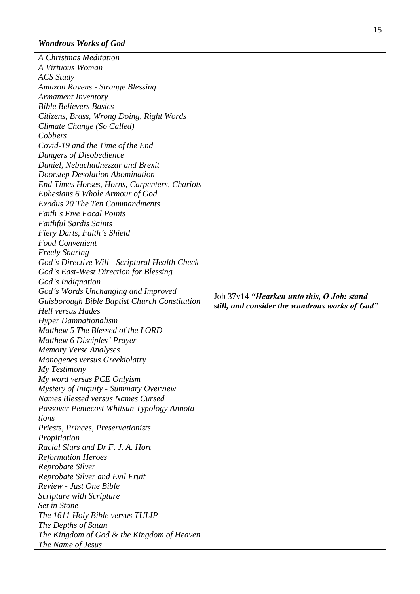# *Wondrous Works of God*

| A Virtuous Woman<br><b>ACS</b> Study<br>Amazon Ravens - Strange Blessing<br><b>Armament Inventory</b><br><b>Bible Believers Basics</b><br>Citizens, Brass, Wrong Doing, Right Words<br>Climate Change (So Called)<br>Cobbers<br>Covid-19 and the Time of the End<br>Dangers of Disobedience<br>Daniel, Nebuchadnezzar and Brexit |
|----------------------------------------------------------------------------------------------------------------------------------------------------------------------------------------------------------------------------------------------------------------------------------------------------------------------------------|
|                                                                                                                                                                                                                                                                                                                                  |
|                                                                                                                                                                                                                                                                                                                                  |
|                                                                                                                                                                                                                                                                                                                                  |
|                                                                                                                                                                                                                                                                                                                                  |
|                                                                                                                                                                                                                                                                                                                                  |
|                                                                                                                                                                                                                                                                                                                                  |
|                                                                                                                                                                                                                                                                                                                                  |
|                                                                                                                                                                                                                                                                                                                                  |
|                                                                                                                                                                                                                                                                                                                                  |
|                                                                                                                                                                                                                                                                                                                                  |
|                                                                                                                                                                                                                                                                                                                                  |
| Doorstep Desolation Abomination                                                                                                                                                                                                                                                                                                  |
| End Times Horses, Horns, Carpenters, Chariots                                                                                                                                                                                                                                                                                    |
| Ephesians 6 Whole Armour of God                                                                                                                                                                                                                                                                                                  |
| <b>Exodus 20 The Ten Commandments</b>                                                                                                                                                                                                                                                                                            |
| <b>Faith's Five Focal Points</b>                                                                                                                                                                                                                                                                                                 |
| <b>Faithful Sardis Saints</b>                                                                                                                                                                                                                                                                                                    |
| Fiery Darts, Faith's Shield                                                                                                                                                                                                                                                                                                      |
| Food Convenient                                                                                                                                                                                                                                                                                                                  |
| <b>Freely Sharing</b>                                                                                                                                                                                                                                                                                                            |
| God's Directive Will - Scriptural Health Check                                                                                                                                                                                                                                                                                   |
| God's East-West Direction for Blessing                                                                                                                                                                                                                                                                                           |
| God's Indignation                                                                                                                                                                                                                                                                                                                |
| God's Words Unchanging and Improved                                                                                                                                                                                                                                                                                              |
| Job 37v14 "Hearken unto this, O Job: stand<br>Guisborough Bible Baptist Church Constitution                                                                                                                                                                                                                                      |
| still, and consider the wondrous works of God"<br><b>Hell versus Hades</b>                                                                                                                                                                                                                                                       |
| <b>Hyper Damnationalism</b>                                                                                                                                                                                                                                                                                                      |
| Matthew 5 The Blessed of the LORD                                                                                                                                                                                                                                                                                                |
| <b>Matthew 6 Disciples' Prayer</b>                                                                                                                                                                                                                                                                                               |
| <b>Memory Verse Analyses</b>                                                                                                                                                                                                                                                                                                     |
| Monogenes versus Greekiolatry                                                                                                                                                                                                                                                                                                    |
| My Testimony                                                                                                                                                                                                                                                                                                                     |
| My word versus PCE Onlyism                                                                                                                                                                                                                                                                                                       |
| Mystery of Iniquity - Summary Overview                                                                                                                                                                                                                                                                                           |
| Names Blessed versus Names Cursed                                                                                                                                                                                                                                                                                                |
| Passover Pentecost Whitsun Typology Annota-                                                                                                                                                                                                                                                                                      |
| tions                                                                                                                                                                                                                                                                                                                            |
| Priests, Princes, Preservationists                                                                                                                                                                                                                                                                                               |
| Propitiation                                                                                                                                                                                                                                                                                                                     |
| Racial Slurs and Dr F. J. A. Hort                                                                                                                                                                                                                                                                                                |
| <b>Reformation Heroes</b>                                                                                                                                                                                                                                                                                                        |
| Reprobate Silver                                                                                                                                                                                                                                                                                                                 |
| Reprobate Silver and Evil Fruit                                                                                                                                                                                                                                                                                                  |
| Review - Just One Bible                                                                                                                                                                                                                                                                                                          |
| Scripture with Scripture                                                                                                                                                                                                                                                                                                         |
| Set in Stone                                                                                                                                                                                                                                                                                                                     |
| The 1611 Holy Bible versus TULIP                                                                                                                                                                                                                                                                                                 |
| The Depths of Satan                                                                                                                                                                                                                                                                                                              |
| The Kingdom of God & the Kingdom of Heaven                                                                                                                                                                                                                                                                                       |
| The Name of Jesus                                                                                                                                                                                                                                                                                                                |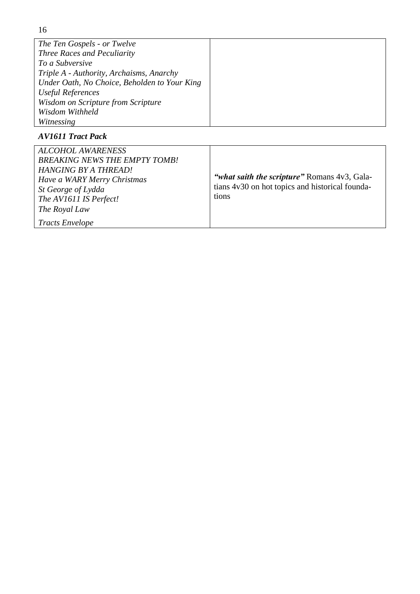| The Ten Gospels - or Twelve                  |  |
|----------------------------------------------|--|
| Three Races and Peculiarity                  |  |
| To a Subversive                              |  |
| Triple A - Authority, Archaisms, Anarchy     |  |
| Under Oath, No Choice, Beholden to Your King |  |
| Useful References                            |  |
| Wisdom on Scripture from Scripture           |  |
| Wisdom Withheld                              |  |
| Witnessing                                   |  |

# *AV1611 Tract Pack*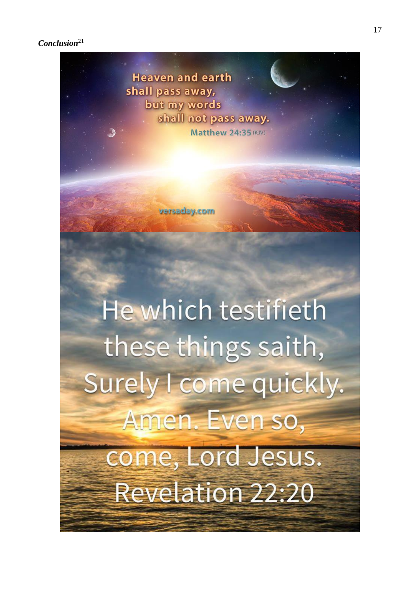*Conclusion*<sup>21</sup>